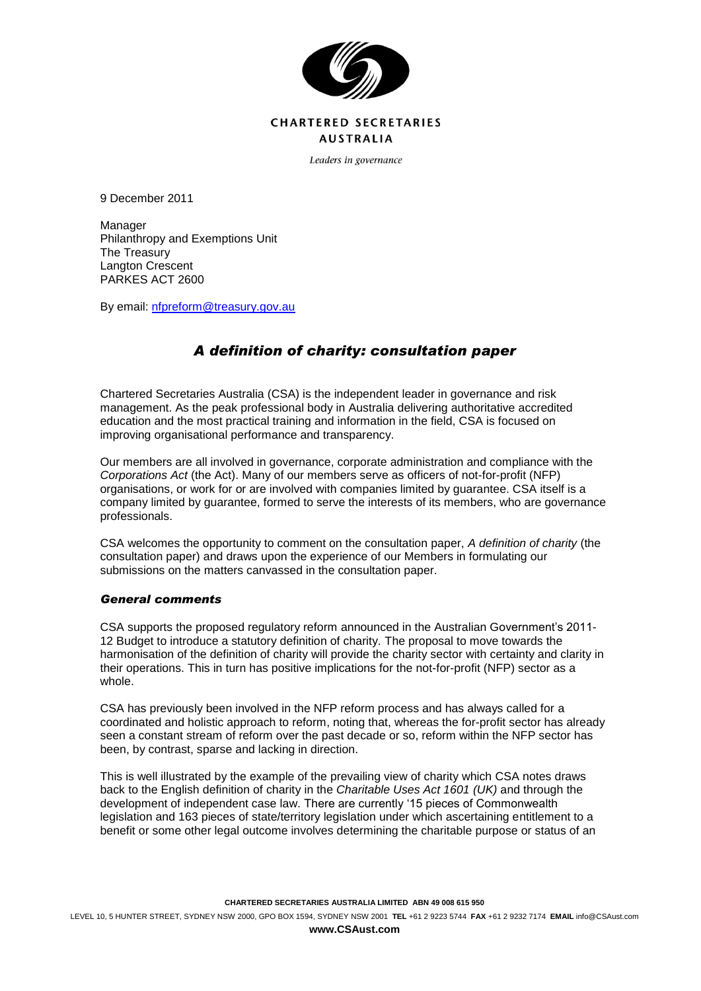

## **CHARTERED SECRETARIES AUSTRALIA**

Leaders in governance

9 December 2011

Manager Philanthropy and Exemptions Unit The Treasury Langton Crescent PARKES ACT 2600

By email: [nfpreform@treasury.gov.au](mailto:nfpreform@treasury.gov.au)

# *A definition of charity: consultation paper*

Chartered Secretaries Australia (CSA) is the independent leader in governance and risk management. As the peak professional body in Australia delivering authoritative accredited education and the most practical training and information in the field, CSA is focused on improving organisational performance and transparency.

Our members are all involved in governance, corporate administration and compliance with the *Corporations Act* (the Act). Many of our members serve as officers of not-for-profit (NFP) organisations, or work for or are involved with companies limited by guarantee. CSA itself is a company limited by guarantee, formed to serve the interests of its members, who are governance professionals.

CSA welcomes the opportunity to comment on the consultation paper, *A definition of charity* (the consultation paper) and draws upon the experience of our Members in formulating our submissions on the matters canvassed in the consultation paper.

## *General comments*

CSA supports the proposed regulatory reform announced in the Australian Government's 2011- 12 Budget to introduce a statutory definition of charity. The proposal to move towards the harmonisation of the definition of charity will provide the charity sector with certainty and clarity in their operations. This in turn has positive implications for the not-for-profit (NFP) sector as a whole.

CSA has previously been involved in the NFP reform process and has always called for a coordinated and holistic approach to reform, noting that, whereas the for-profit sector has already seen a constant stream of reform over the past decade or so, reform within the NFP sector has been, by contrast, sparse and lacking in direction.

This is well illustrated by the example of the prevailing view of charity which CSA notes draws back to the English definition of charity in the *Charitable Uses Act 1601 (UK)* and through the development of independent case law. There are currently '15 pieces of Commonwealth legislation and 163 pieces of state/territory legislation under which ascertaining entitlement to a benefit or some other legal outcome involves determining the charitable purpose or status of an

**www.CSAust.com**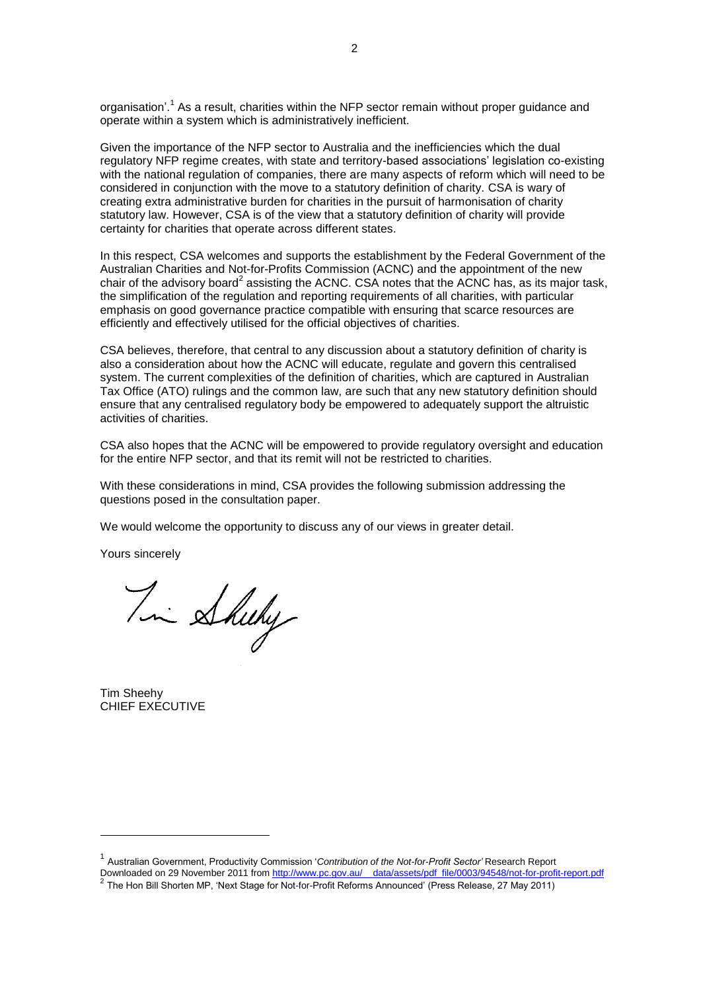organisation'.<sup>1</sup> As a result, charities within the NFP sector remain without proper guidance and operate within a system which is administratively inefficient.

Given the importance of the NFP sector to Australia and the inefficiencies which the dual regulatory NFP regime creates, with state and territory-based associations' legislation co-existing with the national regulation of companies, there are many aspects of reform which will need to be considered in conjunction with the move to a statutory definition of charity. CSA is wary of creating extra administrative burden for charities in the pursuit of harmonisation of charity statutory law. However, CSA is of the view that a statutory definition of charity will provide certainty for charities that operate across different states.

In this respect, CSA welcomes and supports the establishment by the Federal Government of the Australian Charities and Not-for-Profits Commission (ACNC) and the appointment of the new chair of the advisory board<sup>2</sup> assisting the ACNC. CSA notes that the ACNC has, as its major task, the simplification of the regulation and reporting requirements of all charities, with particular emphasis on good governance practice compatible with ensuring that scarce resources are efficiently and effectively utilised for the official objectives of charities.

CSA believes, therefore, that central to any discussion about a statutory definition of charity is also a consideration about how the ACNC will educate, regulate and govern this centralised system. The current complexities of the definition of charities, which are captured in Australian Tax Office (ATO) rulings and the common law, are such that any new statutory definition should ensure that any centralised regulatory body be empowered to adequately support the altruistic activities of charities.

CSA also hopes that the ACNC will be empowered to provide regulatory oversight and education for the entire NFP sector, and that its remit will not be restricted to charities.

With these considerations in mind, CSA provides the following submission addressing the questions posed in the consultation paper.

We would welcome the opportunity to discuss any of our views in greater detail.

Yours sincerely

Tim Sheeky

Tim Sheehy CHIEF EXECUTIVE

-

<sup>1</sup> Australian Government, Productivity Commission '*Contribution of the Not-for-Profit Sector'* Research Report Downloaded on 29 November 2011 fro[m http://www.pc.gov.au/\\_\\_data/assets/pdf\\_file/0003/94548/not-for-profit-report.pdf](http://www.pc.gov.au/__data/assets/pdf_file/0003/94548/not-for-profit-report.pdf) <sup>2</sup> The Hon Bill Shorten MP, 'Next Stage for Not-for-Profit Reforms Announced' (Press Release, 27 May 2011)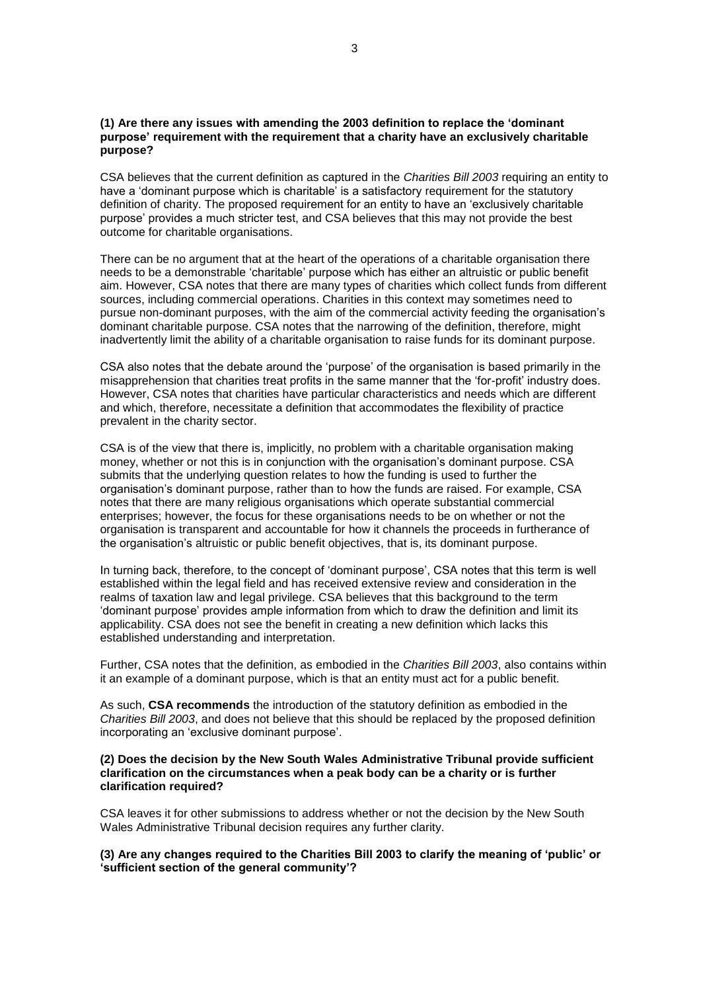## **(1) Are there any issues with amending the 2003 definition to replace the 'dominant purpose' requirement with the requirement that a charity have an exclusively charitable purpose?**

CSA believes that the current definition as captured in the *Charities Bill 2003* requiring an entity to have a 'dominant purpose which is charitable' is a satisfactory requirement for the statutory definition of charity. The proposed requirement for an entity to have an 'exclusively charitable purpose' provides a much stricter test, and CSA believes that this may not provide the best outcome for charitable organisations.

There can be no argument that at the heart of the operations of a charitable organisation there needs to be a demonstrable 'charitable' purpose which has either an altruistic or public benefit aim. However, CSA notes that there are many types of charities which collect funds from different sources, including commercial operations. Charities in this context may sometimes need to pursue non-dominant purposes, with the aim of the commercial activity feeding the organisation's dominant charitable purpose. CSA notes that the narrowing of the definition, therefore, might inadvertently limit the ability of a charitable organisation to raise funds for its dominant purpose.

CSA also notes that the debate around the 'purpose' of the organisation is based primarily in the misapprehension that charities treat profits in the same manner that the 'for-profit' industry does. However, CSA notes that charities have particular characteristics and needs which are different and which, therefore, necessitate a definition that accommodates the flexibility of practice prevalent in the charity sector.

CSA is of the view that there is, implicitly, no problem with a charitable organisation making money, whether or not this is in conjunction with the organisation's dominant purpose. CSA submits that the underlying question relates to how the funding is used to further the organisation's dominant purpose, rather than to how the funds are raised. For example, CSA notes that there are many religious organisations which operate substantial commercial enterprises; however, the focus for these organisations needs to be on whether or not the organisation is transparent and accountable for how it channels the proceeds in furtherance of the organisation's altruistic or public benefit objectives, that is, its dominant purpose.

In turning back, therefore, to the concept of 'dominant purpose', CSA notes that this term is well established within the legal field and has received extensive review and consideration in the realms of taxation law and legal privilege. CSA believes that this background to the term 'dominant purpose' provides ample information from which to draw the definition and limit its applicability. CSA does not see the benefit in creating a new definition which lacks this established understanding and interpretation.

Further, CSA notes that the definition, as embodied in the *Charities Bill 2003*, also contains within it an example of a dominant purpose, which is that an entity must act for a public benefit.

As such, **CSA recommends** the introduction of the statutory definition as embodied in the *Charities Bill 2003*, and does not believe that this should be replaced by the proposed definition incorporating an 'exclusive dominant purpose'.

#### **(2) Does the decision by the New South Wales Administrative Tribunal provide sufficient clarification on the circumstances when a peak body can be a charity or is further clarification required?**

CSA leaves it for other submissions to address whether or not the decision by the New South Wales Administrative Tribunal decision requires any further clarity.

**(3) Are any changes required to the Charities Bill 2003 to clarify the meaning of 'public' or 'sufficient section of the general community'?**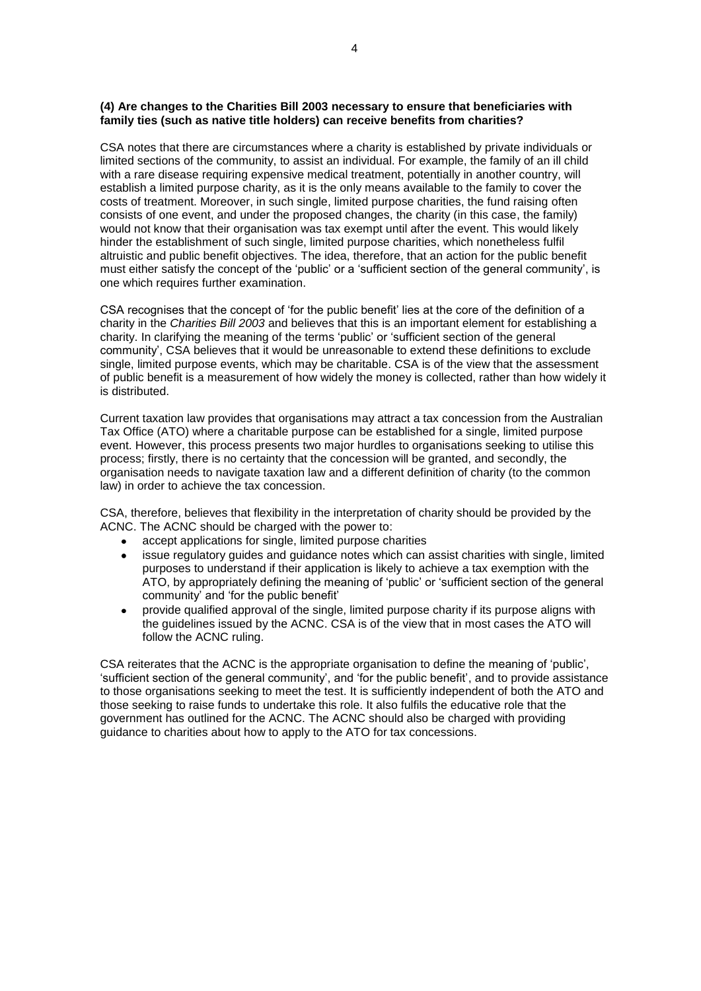#### **(4) Are changes to the Charities Bill 2003 necessary to ensure that beneficiaries with family ties (such as native title holders) can receive benefits from charities?**

CSA notes that there are circumstances where a charity is established by private individuals or limited sections of the community, to assist an individual. For example, the family of an ill child with a rare disease requiring expensive medical treatment, potentially in another country, will establish a limited purpose charity, as it is the only means available to the family to cover the costs of treatment. Moreover, in such single, limited purpose charities, the fund raising often consists of one event, and under the proposed changes, the charity (in this case, the family) would not know that their organisation was tax exempt until after the event. This would likely hinder the establishment of such single, limited purpose charities, which nonetheless fulfil altruistic and public benefit objectives. The idea, therefore, that an action for the public benefit must either satisfy the concept of the 'public' or a 'sufficient section of the general community', is one which requires further examination.

CSA recognises that the concept of 'for the public benefit' lies at the core of the definition of a charity in the *Charities Bill 2003* and believes that this is an important element for establishing a charity. In clarifying the meaning of the terms 'public' or 'sufficient section of the general community', CSA believes that it would be unreasonable to extend these definitions to exclude single, limited purpose events, which may be charitable. CSA is of the view that the assessment of public benefit is a measurement of how widely the money is collected, rather than how widely it is distributed.

Current taxation law provides that organisations may attract a tax concession from the Australian Tax Office (ATO) where a charitable purpose can be established for a single, limited purpose event. However, this process presents two major hurdles to organisations seeking to utilise this process; firstly, there is no certainty that the concession will be granted, and secondly, the organisation needs to navigate taxation law and a different definition of charity (to the common law) in order to achieve the tax concession.

CSA, therefore, believes that flexibility in the interpretation of charity should be provided by the ACNC. The ACNC should be charged with the power to:

- accept applications for single, limited purpose charities
- $\bullet$ issue regulatory guides and guidance notes which can assist charities with single, limited purposes to understand if their application is likely to achieve a tax exemption with the ATO, by appropriately defining the meaning of 'public' or 'sufficient section of the general community' and 'for the public benefit'
- provide qualified approval of the single, limited purpose charity if its purpose aligns with the guidelines issued by the ACNC. CSA is of the view that in most cases the ATO will follow the ACNC ruling.

CSA reiterates that the ACNC is the appropriate organisation to define the meaning of 'public', 'sufficient section of the general community', and 'for the public benefit', and to provide assistance to those organisations seeking to meet the test. It is sufficiently independent of both the ATO and those seeking to raise funds to undertake this role. It also fulfils the educative role that the government has outlined for the ACNC. The ACNC should also be charged with providing guidance to charities about how to apply to the ATO for tax concessions.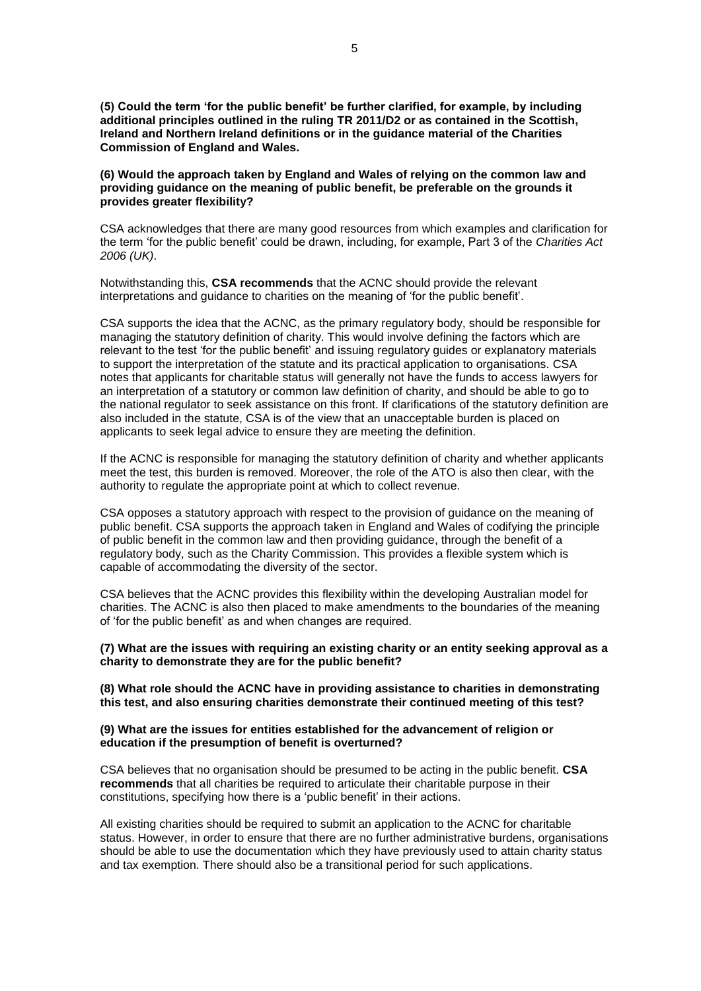**(5) Could the term 'for the public benefit' be further clarified, for example, by including additional principles outlined in the ruling TR 2011/D2 or as contained in the Scottish, Ireland and Northern Ireland definitions or in the guidance material of the Charities Commission of England and Wales.** 

**(6) Would the approach taken by England and Wales of relying on the common law and providing guidance on the meaning of public benefit, be preferable on the grounds it provides greater flexibility?**

CSA acknowledges that there are many good resources from which examples and clarification for the term 'for the public benefit' could be drawn, including, for example, Part 3 of the *Charities Act 2006 (UK)*.

Notwithstanding this, **CSA recommends** that the ACNC should provide the relevant interpretations and guidance to charities on the meaning of 'for the public benefit'.

CSA supports the idea that the ACNC, as the primary regulatory body, should be responsible for managing the statutory definition of charity. This would involve defining the factors which are relevant to the test 'for the public benefit' and issuing regulatory guides or explanatory materials to support the interpretation of the statute and its practical application to organisations. CSA notes that applicants for charitable status will generally not have the funds to access lawyers for an interpretation of a statutory or common law definition of charity, and should be able to go to the national regulator to seek assistance on this front. If clarifications of the statutory definition are also included in the statute, CSA is of the view that an unacceptable burden is placed on applicants to seek legal advice to ensure they are meeting the definition.

If the ACNC is responsible for managing the statutory definition of charity and whether applicants meet the test, this burden is removed. Moreover, the role of the ATO is also then clear, with the authority to regulate the appropriate point at which to collect revenue.

CSA opposes a statutory approach with respect to the provision of guidance on the meaning of public benefit. CSA supports the approach taken in England and Wales of codifying the principle of public benefit in the common law and then providing guidance, through the benefit of a regulatory body, such as the Charity Commission. This provides a flexible system which is capable of accommodating the diversity of the sector.

CSA believes that the ACNC provides this flexibility within the developing Australian model for charities. The ACNC is also then placed to make amendments to the boundaries of the meaning of 'for the public benefit' as and when changes are required.

**(7) What are the issues with requiring an existing charity or an entity seeking approval as a charity to demonstrate they are for the public benefit?**

**(8) What role should the ACNC have in providing assistance to charities in demonstrating this test, and also ensuring charities demonstrate their continued meeting of this test?**

#### **(9) What are the issues for entities established for the advancement of religion or education if the presumption of benefit is overturned?**

CSA believes that no organisation should be presumed to be acting in the public benefit. **CSA recommends** that all charities be required to articulate their charitable purpose in their constitutions, specifying how there is a 'public benefit' in their actions.

All existing charities should be required to submit an application to the ACNC for charitable status. However, in order to ensure that there are no further administrative burdens, organisations should be able to use the documentation which they have previously used to attain charity status and tax exemption. There should also be a transitional period for such applications.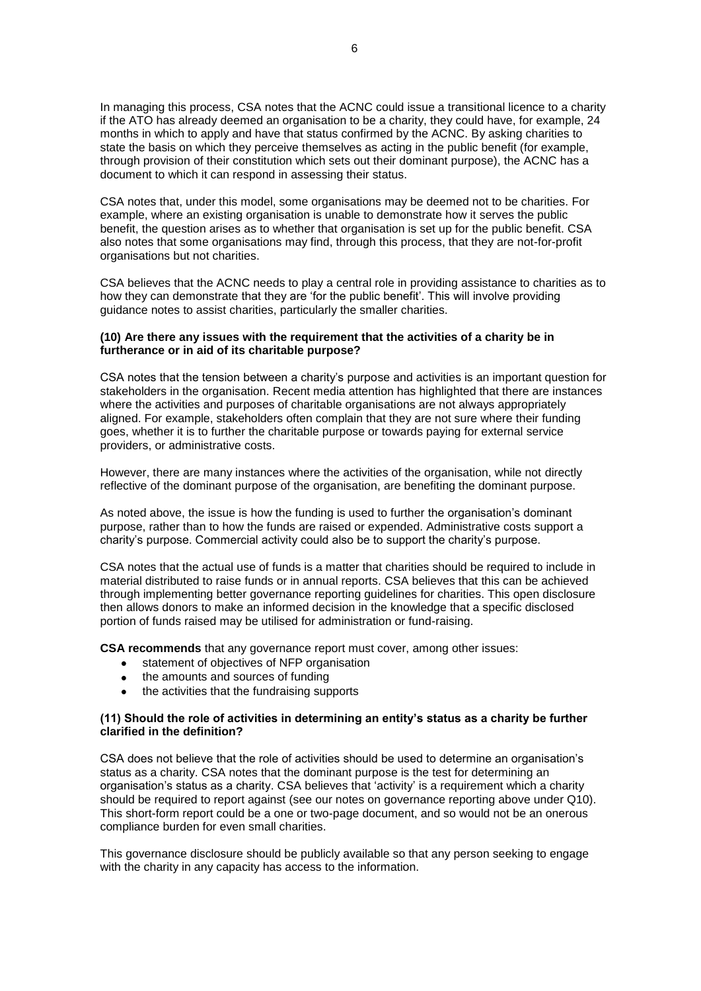In managing this process, CSA notes that the ACNC could issue a transitional licence to a charity if the ATO has already deemed an organisation to be a charity, they could have, for example, 24 months in which to apply and have that status confirmed by the ACNC. By asking charities to state the basis on which they perceive themselves as acting in the public benefit (for example, through provision of their constitution which sets out their dominant purpose), the ACNC has a document to which it can respond in assessing their status.

CSA notes that, under this model, some organisations may be deemed not to be charities. For example, where an existing organisation is unable to demonstrate how it serves the public benefit, the question arises as to whether that organisation is set up for the public benefit. CSA also notes that some organisations may find, through this process, that they are not-for-profit organisations but not charities.

CSA believes that the ACNC needs to play a central role in providing assistance to charities as to how they can demonstrate that they are 'for the public benefit'. This will involve providing guidance notes to assist charities, particularly the smaller charities.

## **(10) Are there any issues with the requirement that the activities of a charity be in furtherance or in aid of its charitable purpose?**

CSA notes that the tension between a charity's purpose and activities is an important question for stakeholders in the organisation. Recent media attention has highlighted that there are instances where the activities and purposes of charitable organisations are not always appropriately aligned. For example, stakeholders often complain that they are not sure where their funding goes, whether it is to further the charitable purpose or towards paying for external service providers, or administrative costs.

However, there are many instances where the activities of the organisation, while not directly reflective of the dominant purpose of the organisation, are benefiting the dominant purpose.

As noted above, the issue is how the funding is used to further the organisation's dominant purpose, rather than to how the funds are raised or expended. Administrative costs support a charity's purpose. Commercial activity could also be to support the charity's purpose.

CSA notes that the actual use of funds is a matter that charities should be required to include in material distributed to raise funds or in annual reports. CSA believes that this can be achieved through implementing better governance reporting guidelines for charities. This open disclosure then allows donors to make an informed decision in the knowledge that a specific disclosed portion of funds raised may be utilised for administration or fund-raising.

**CSA recommends** that any governance report must cover, among other issues:

- statement of objectives of NFP organisation
- the amounts and sources of funding
- the activities that the fundraising supports

#### **(11) Should the role of activities in determining an entity's status as a charity be further clarified in the definition?**

CSA does not believe that the role of activities should be used to determine an organisation's status as a charity. CSA notes that the dominant purpose is the test for determining an organisation's status as a charity. CSA believes that 'activity' is a requirement which a charity should be required to report against (see our notes on governance reporting above under Q10). This short-form report could be a one or two-page document, and so would not be an onerous compliance burden for even small charities.

This governance disclosure should be publicly available so that any person seeking to engage with the charity in any capacity has access to the information.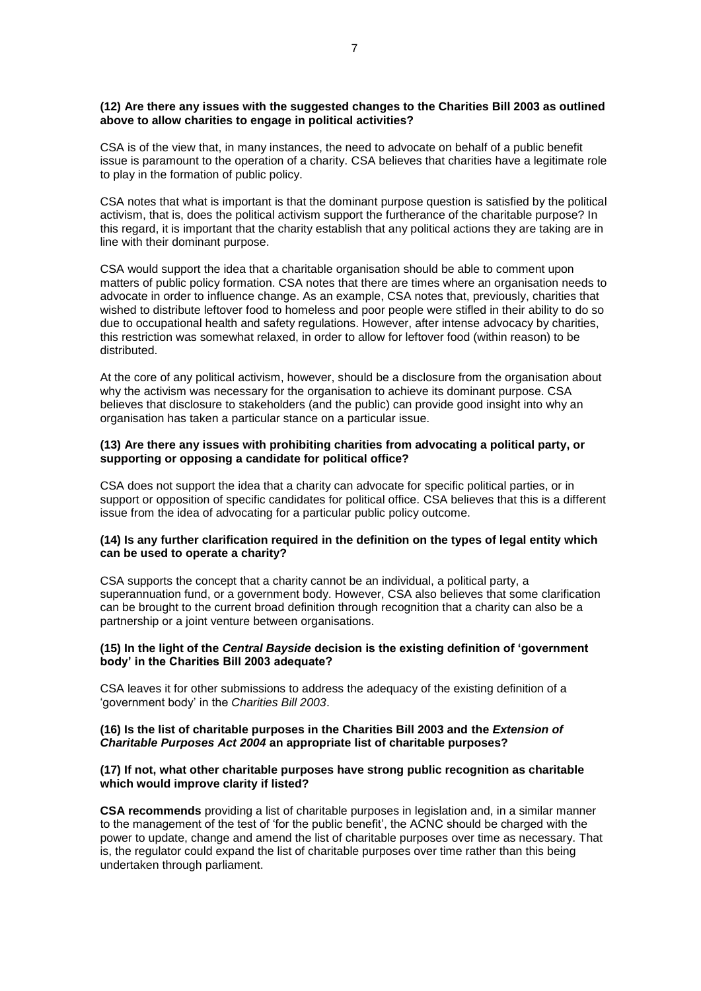#### **(12) Are there any issues with the suggested changes to the Charities Bill 2003 as outlined above to allow charities to engage in political activities?**

CSA is of the view that, in many instances, the need to advocate on behalf of a public benefit issue is paramount to the operation of a charity. CSA believes that charities have a legitimate role to play in the formation of public policy.

CSA notes that what is important is that the dominant purpose question is satisfied by the political activism, that is, does the political activism support the furtherance of the charitable purpose? In this regard, it is important that the charity establish that any political actions they are taking are in line with their dominant purpose.

CSA would support the idea that a charitable organisation should be able to comment upon matters of public policy formation. CSA notes that there are times where an organisation needs to advocate in order to influence change. As an example, CSA notes that, previously, charities that wished to distribute leftover food to homeless and poor people were stifled in their ability to do so due to occupational health and safety regulations. However, after intense advocacy by charities, this restriction was somewhat relaxed, in order to allow for leftover food (within reason) to be distributed.

At the core of any political activism, however, should be a disclosure from the organisation about why the activism was necessary for the organisation to achieve its dominant purpose. CSA believes that disclosure to stakeholders (and the public) can provide good insight into why an organisation has taken a particular stance on a particular issue.

#### **(13) Are there any issues with prohibiting charities from advocating a political party, or supporting or opposing a candidate for political office?**

CSA does not support the idea that a charity can advocate for specific political parties, or in support or opposition of specific candidates for political office. CSA believes that this is a different issue from the idea of advocating for a particular public policy outcome.

## **(14) Is any further clarification required in the definition on the types of legal entity which can be used to operate a charity?**

CSA supports the concept that a charity cannot be an individual, a political party, a superannuation fund, or a government body. However, CSA also believes that some clarification can be brought to the current broad definition through recognition that a charity can also be a partnership or a joint venture between organisations.

#### **(15) In the light of the** *Central Bayside* **decision is the existing definition of 'government body' in the Charities Bill 2003 adequate?**

CSA leaves it for other submissions to address the adequacy of the existing definition of a 'government body' in the *Charities Bill 2003*.

#### **(16) Is the list of charitable purposes in the Charities Bill 2003 and the** *Extension of Charitable Purposes Act 2004* **an appropriate list of charitable purposes?**

### **(17) If not, what other charitable purposes have strong public recognition as charitable which would improve clarity if listed?**

**CSA recommends** providing a list of charitable purposes in legislation and, in a similar manner to the management of the test of 'for the public benefit', the ACNC should be charged with the power to update, change and amend the list of charitable purposes over time as necessary. That is, the regulator could expand the list of charitable purposes over time rather than this being undertaken through parliament.